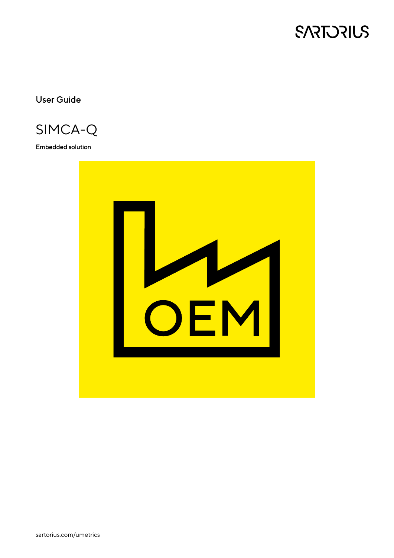

User Guide

SIMCA-Q

Embedded solution

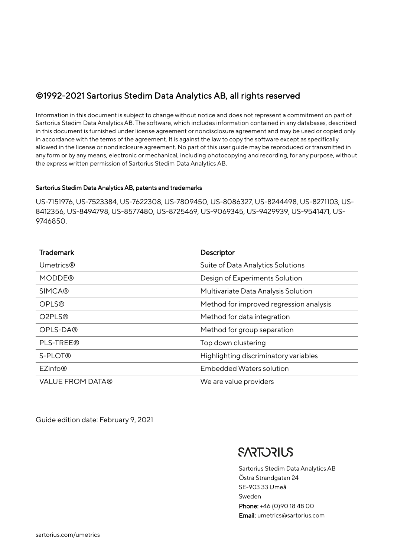### ©1992-2021 Sartorius Stedim Data Analytics AB, all rights reserved

Information in this document is subject to change without notice and does not represent a commitment on part of Sartorius Stedim Data Analytics AB. The software, which includes information contained in any databases, described in this document is furnished under license agreement or nondisclosure agreement and may be used or copied only in accordance with the terms of the agreement. It is against the law to copy the software except as specifically allowed in the license or nondisclosure agreement. No part of this user guide may be reproduced or transmitted in any form or by any means, electronic or mechanical, including photocopying and recording, for any purpose, without the express written permission of Sartorius Stedim Data Analytics AB.

#### Sartorius Stedim Data Analytics AB, patents and trademarks

US-7151976, US-7523384, US-7622308, US-7809450, US-8086327, US-8244498, US-8271103, US-8412356, US-8494798, US-8577480, US-8725469, US-9069345, US-9429939, US-9541471, US-9746850.

| <b>Trademark</b>        | Descriptor                              |
|-------------------------|-----------------------------------------|
| <b>Umetrics®</b>        | Suite of Data Analytics Solutions       |
| <b>MODDE®</b>           | Design of Experiments Solution          |
| <b>SIMCA®</b>           | Multivariate Data Analysis Solution     |
| <b>OPLS®</b>            | Method for improved regression analysis |
| O2PLS®                  | Method for data integration             |
| OPLS-DA®                | Method for group separation             |
| PLS-TREE®               | Top down clustering                     |
| S-PLOT®                 | Highlighting discriminatory variables   |
| EZinfo <sup>®</sup>     | <b>Embedded Waters solution</b>         |
| <b>VALUE FROM DATA®</b> | We are value providers                  |

Guide edition date: February 9, 2021

## **SARTORIUS**

Sartorius Stedim Data Analytics AB Östra Strandgatan 24 SE-903 33 Umeå Sweden Phone: +46 (0)90 18 48 00 Email: umetrics@sartorius.com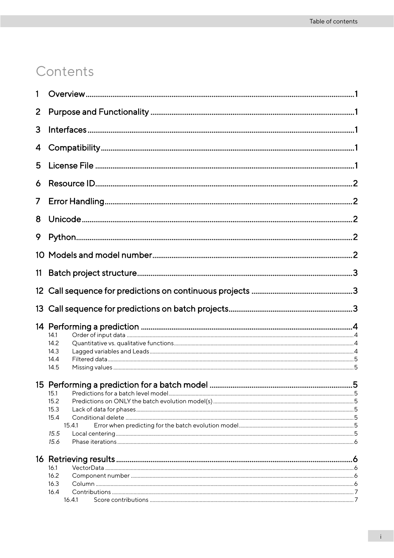## Contents

| 1               |                |   |
|-----------------|----------------|---|
| 2               |                |   |
| 3               |                |   |
| 4               |                |   |
| 5               |                |   |
| 6               |                |   |
| 7               |                |   |
| 8               |                |   |
| 9               |                |   |
|                 |                |   |
| 11              |                |   |
| 12 <sup>2</sup> |                |   |
| 13              |                |   |
|                 |                |   |
|                 | 14.1           |   |
|                 | 14.2           |   |
|                 | 14.3           |   |
|                 | 14.4           |   |
|                 | 14.5           |   |
|                 |                |   |
|                 |                |   |
|                 |                | 5 |
|                 | 15.1           |   |
|                 | 15.2           |   |
|                 | 15.3           |   |
|                 | 15.4           |   |
|                 | 15.4.1         |   |
|                 | 15.5<br>15.6   |   |
|                 |                |   |
|                 |                |   |
|                 | 16.1           |   |
|                 | 16.2           |   |
|                 | 16.3           |   |
|                 | 16.4<br>16.4.1 |   |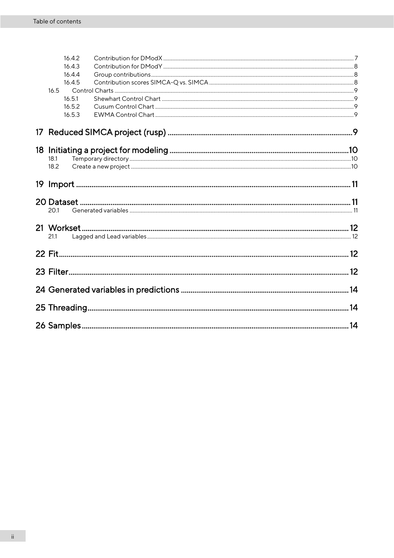| 16.4.2           |  |
|------------------|--|
| 16.4.3           |  |
| 16.4.4           |  |
| 16.4.5           |  |
| 16.5             |  |
| 16.5.1<br>16.5.2 |  |
|                  |  |
| 16.5.3           |  |
|                  |  |
|                  |  |
| 18.1             |  |
| 18.2             |  |
|                  |  |
|                  |  |
| 20.1             |  |
|                  |  |
| 21.1             |  |
|                  |  |
|                  |  |
|                  |  |
|                  |  |
|                  |  |
|                  |  |
|                  |  |
|                  |  |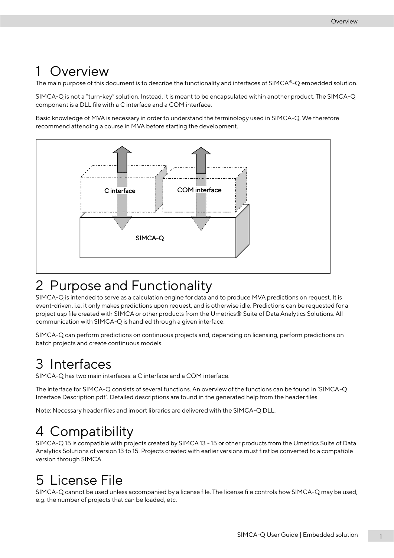## <span id="page-6-0"></span>**Overview**

The main purpose of this document is to describe the functionality and interfaces of SIMCA®-Q embedded solution.

SIMCA-Q is not a "turn-key" solution. Instead, it is meant to be encapsulated within another product. The SIMCA-Q component is a DLL file with a C interface and a COM interface.

Basic knowledge of MVA is necessary in order to understand the terminology used in SIMCA-Q. We therefore recommend attending a course in MVA before starting the development.



## <span id="page-6-1"></span>2 Purpose and Functionality

SIMCA-Q is intended to serve as a calculation engine for data and to produce MVA predictions on request. It is event-driven, i.e. it only makes predictions upon request, and is otherwise idle. Predictions can be requested for a project usp file created with SIMCA or other products from the Umetrics® Suite of Data Analytics Solutions. All communication with SIMCA-Q is handled through a given interface.

SIMCA-Q can perform predictions on continuous projects and, depending on licensing, perform predictions on batch projects and create continuous models.

# <span id="page-6-2"></span>3 Interfaces

SIMCA-Q has two main interfaces: a C interface and a COM interface.

The interface for SIMCA-Q consists of several functions. An overview of the functions can be found in 'SIMCA-Q Interface Description.pdf'. Detailed descriptions are found in the generated help from the header files.

Note: Necessary header files and import libraries are delivered with the SIMCA-Q DLL.

## <span id="page-6-3"></span>4 Compatibility

SIMCA-Q 15 is compatible with projects created by SIMCA 13 - 15 or other products from the Umetrics Suite of Data Analytics Solutions of version 13 to 15. Projects created with earlier versions must first be converted to a compatible version through SIMCA.

# <span id="page-6-4"></span>5 License File

SIMCA-Q cannot be used unless accompanied by a license file. The license file controls how SIMCA-Q may be used, e.g. the number of projects that can be loaded, etc.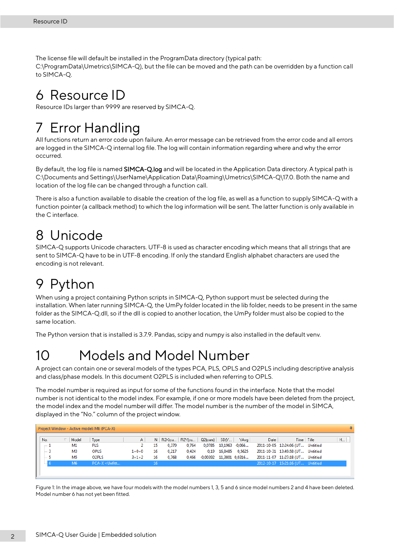The license file will default be installed in the ProgramData directory (typical path: C:\ProgramData\Umetrics\SIMCA-Q), but the file can be moved and the path can be overridden by a function call to SIMCA-Q.

## <span id="page-7-0"></span>6 Resource ID

Resource IDs larger than 9999 are reserved by SIMCA-Q.

## <span id="page-7-1"></span>7 Error Handling

All functions return an error code upon failure. An error message can be retrieved from the error code and all errors are logged in the SIMCA-Q internal log file. The log will contain information regarding where and why the error occurred.

By default, the log file is named SIMCA-Q.log and will be located in the Application Data directory. A typical path is C:\Documents and Settings\UserName\Application Data\Roaming\Umetrics\SIMCA-Q\17.0. Both the name and location of the log file can be changed through a function call.

There is also a function available to disable the creation of the log file, as well as a function to supply SIMCA-Q with a function pointer (a callback method) to which the log information will be sent. The latter function is only available in the C interface.

## <span id="page-7-2"></span>8 Unicode

SIMCA-Q supports Unicode characters. UTF-8 is used as character encoding which means that all strings that are sent to SIMCA-Q have to be in UTF-8 encoding. If only the standard English alphabet characters are used the encoding is not relevant.

# <span id="page-7-3"></span>9 Python

When using a project containing Python scripts in SIMCA-Q, Python support must be selected during the installation. When later running SIMCA-Q, the UmPy folder located in the lib folder, needs to be present in the same folder as the SIMCA-Q.dll, so if the dll is copied to another location, the UmPy folder must also be copied to the same location.

The Python version that is installed is 3.7.9. Pandas, scipy and numpy is also installed in the default venv.

## <span id="page-7-4"></span>10 Models and Model Number

A project can contain one or several models of the types PCA, PLS, OPLS and O2PLS including descriptive analysis and class/phase models. In this document O2PLS is included when referring to OPLS.

The model number is required as input for some of the functions found in the interface. Note that the model number is not identical to the model index. For example, if one or more models have been deleted from the project, the model index and the model number will differ. The model number is the number of the model in SIMCA, displayed in the "No." column of the project window.

| 4<br>Project Window - Active model: M6 (PCA-X) |                                                                                                                             |             |    |       |                  |                |            |         |                                                      |  |                                                                                                                                                              |
|------------------------------------------------|-----------------------------------------------------------------------------------------------------------------------------|-------------|----|-------|------------------|----------------|------------|---------|------------------------------------------------------|--|--------------------------------------------------------------------------------------------------------------------------------------------------------------|
| Model                                          | Type                                                                                                                        | A           |    |       |                  | $Q2$ [cum] $ $ | SDIY       |         | Date                                                 |  | H                                                                                                                                                            |
| M1                                             | <b>PLS</b>                                                                                                                  |             | 15 | 0.379 | 0.764            | 0.0785         |            |         |                                                      |  |                                                                                                                                                              |
| M <sub>3</sub>                                 | <b>OPLS</b>                                                                                                                 | $1 + 0 + 0$ | 16 | 0.217 | 0.424            | 0.19           |            |         |                                                      |  |                                                                                                                                                              |
| M <sub>5</sub>                                 | O <sub>2</sub> PLS                                                                                                          | $3 + 1 + 2$ | 16 | 0.768 | 0.466            |                |            |         |                                                      |  |                                                                                                                                                              |
| M <sub>6</sub>                                 | PCA-X <unfitt< td=""><td></td><td>16</td><td></td><td></td><td></td><td></td><td></td><td></td><td></td><td></td></unfitt<> |             | 16 |       |                  |                |            |         |                                                      |  |                                                                                                                                                              |
|                                                |                                                                                                                             |             |    |       |                  |                |            |         |                                                      |  |                                                                                                                                                              |
|                                                |                                                                                                                             |             |    |       | $N$   R2 $X$ fcu | R2Y[cu         | $-0.00392$ | 16,8485 | YAva I<br>10.1963 -0.066<br>0.5625<br>11,3801 0,0316 |  | Time   Title<br>2011-10-05 12:24:06 (UT Untitled<br>2011-10-31 13:49:58 (UT Untitled<br>2011-11-07 11:27:18 (UT Untitled<br>2012-10-17 15:21:16 (UT Untitled |

Figure 1: In the image above, we have four models with the model numbers 1, 3, 5 and 6 since model numbers 2 and 4 have been deleted. Model number 6 has not yet been fitted.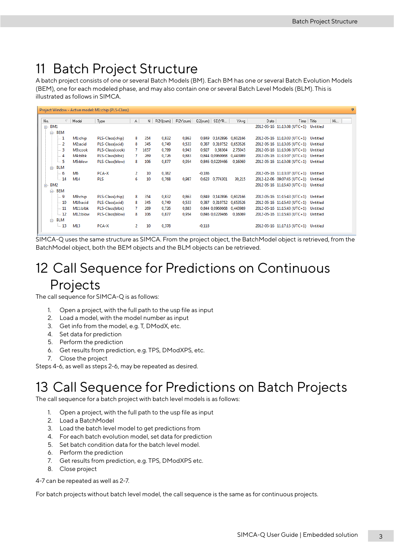## <span id="page-8-0"></span>11 Batch Project Structure

A batch project consists of one or several Batch Models (BM). Each BM has one or several Batch Evolution Models (BEM), one for each modeled phase, and may also contain one or several Batch Level Models (BLM). This is illustrated as follows in SIMCA.

|                  |                  | Project Window - Active model: M1:chip (PLS-Class) |                |      |          |                              |                            |          |             |                                      |              | 4  |
|------------------|------------------|----------------------------------------------------|----------------|------|----------|------------------------------|----------------------------|----------|-------------|--------------------------------------|--------------|----|
| No.              | $\nabla$   Model | Type                                               | A              | N.   | R2X[cum] | $\mathsf{R2Y}[\mathsf{cum}]$ | Q2(cum)   SDfYR            | YAvg     | <b>Date</b> |                                      | Time   Title | Hi |
| $\boxdot$ BM1    |                  |                                                    |                |      |          |                              |                            |          |             | 2012-05-16 11:13:08 (UTC+1) Untitled |              |    |
| ė.<br>BEM        |                  |                                                    |                |      |          |                              |                            |          |             |                                      |              |    |
| $-1$             | M1:chip          | PLS-Class(chip)                                    | 8              | 354  | 0,832    | 0,863                        | 0,849 0,142896 0,602166    |          |             | 2012-05-16 11:13:03 (UTC+1) Untitled |              |    |
| $= 2$            | M2:acid          | PLS-Class(acid)                                    | 8              | 345  | 0.749    | 0,533                        | 0.310752 0.653526<br>0.387 |          |             | 2012-05-16 11:13:05 (UTC+1) Untitled |              |    |
| I — З            | M3:cook          | PLS-Class(cook)                                    | 7              | 1657 | 0,799    | 0,943                        | 0,927<br>0,38364           | 2,75045  |             | 2012-05-16 11:13:06 (UTC+1) Untitled |              |    |
| $\mathbf{1}$ 4   | M4:blbk          | PLS-Class(blbk)                                    | 7              | 269  | 0,726    | 0,883                        | 0.844 0.0960068            | 0,443989 |             | 2012-05-16 11:13:07 (UTC+1) Untitled |              |    |
| L. 5             | M5:blow          | PLS-Class(blow)                                    | 8              | 106  | 0,877    | 0,954                        | 0,846 0,0220466            | 0,16069  |             | 2012-05-16 11:13:08 (UTC+1) Untitled |              |    |
| <b>BLM</b><br>Ėŀ |                  |                                                    |                |      |          |                              |                            |          |             |                                      |              |    |
| I 6              | M6               | PCA-X                                              | $\overline{2}$ | 10   | 0,382    |                              | $-0,186$                   |          |             | 2012-05-16 11:13:37 (UTC+1) Untitled |              |    |
| i 14             | M14              | <b>PLS</b>                                         | 6              | 10   | 0,768    | 0,987                        | 0,623<br>0,774301          | 30,215   |             | 2012-12-06 09:07:45 (UTC+1) Untitled |              |    |
| BM2<br>ė-        |                  |                                                    |                |      |          |                              |                            |          |             | 2012-05-16 11:15:43 (UTC+1) Untitled |              |    |
| ė.<br><b>BEM</b> |                  |                                                    |                |      |          |                              |                            |          |             |                                      |              |    |
| ∣… 9             | M9:chip          | PLS-Class(chip)                                    | 8              | 354  | 0.832    | 0,863                        | 0,849 0,142896             | 0.602166 |             | 2012-05-16 11:15:43 (UTC+1) Untitled |              |    |
| $-10$            | M10:acid         | PLS-Class(acid)                                    | 8              | 345  | 0,749    | 0,533                        | 0,310752 0,653526<br>0,387 |          |             | 2012-05-16 11:15:43 (UTC+1) Untitled |              |    |
| $-11$            | M11:blbk         | PLS-Class(blbk)                                    | 7              | 269  | 0,726    | 0,883                        | 0.844 0.0960068 0.443989   |          |             | 2012-05-16 11:15:43 (UTC+1) Untitled |              |    |
| $-12$            | M12:blow         | PLS-Class(blow)                                    | 8              | 106  | 0,877    | 0,954                        | 0,846 0,0220466            | 0,16069  |             | 2012-05-16 11:15:43 (UTC+1) Untitled |              |    |
| <b>BLM</b><br>Ėŀ |                  |                                                    |                |      |          |                              |                            |          |             |                                      |              |    |
| $-13$            | M13              | PCA-X                                              | 2              | 10   | 0,378    |                              | $-0,118$                   |          |             | 2012-05-16 11:17:15 (UTC+1) Untitled |              |    |
|                  |                  |                                                    |                |      |          |                              |                            |          |             |                                      |              |    |

SIMCA-Q uses the same structure as SIMCA. From the project object, the BatchModel object is retrieved, from the BatchModel object, both the BEM objects and the BLM objects can be retrieved.

## <span id="page-8-1"></span>12 Call Sequence for Predictions on Continuous Projects

The call sequence for SIMCA-Q is as follows:

- 1. Open a project, with the full path to the usp file as input
- 2. Load a model, with the model number as input
- 3. Get info from the model, e.g. T, DModX, etc.
- 4. Set data for prediction
- 5. Perform the prediction
- 6. Get results from prediction, e.g. TPS, DModXPS, etc.
- 7. Close the project

Steps 4-6, as well as steps 2-6, may be repeated as desired.

## <span id="page-8-2"></span>13 Call Sequence for Predictions on Batch Projects

The call sequence for a batch project with batch level models is as follows:

- 1. Open a project, with the full path to the usp file as input
- 2. Load a BatchModel
- 3. Load the batch level model to get predictions from
- 4. For each batch evolution model, set data for prediction
- 5. Set batch condition data for the batch level model.
- 6. Perform the prediction
- 7. Get results from prediction, e.g. TPS, DModXPS etc.
- 8. Close project

4-7 can be repeated as well as 2-7.

For batch projects without batch level model, the call sequence is the same as for continuous projects.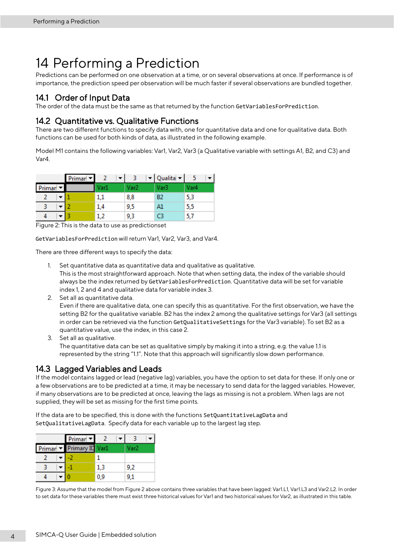## <span id="page-9-0"></span>14 Performing a Prediction

Predictions can be performed on one observation at a time, or on several observations at once. If performance is of importance, the prediction speed per observation will be much faster if several observations are bundled together.

### <span id="page-9-1"></span>14.1 Order of Input Data

The order of the data must be the same as that returned by the function GetVariablesForPrediction.

### <span id="page-9-2"></span>14.2 Quantitative vs. Qualitative Functions

There are two different functions to specify data with, one for quantitative data and one for qualitative data. Both functions can be used for both kinds of data, as illustrated in the following example.

Model M1 contains the following variables: Var1, Var2, Var3 (a Qualitative variable with settings A1, B2, and C3) and Var4.

|        | Primar <sup>V</sup> |      |      | $\blacktriangleright$ Qualita $\blacktriangleright$ |      |
|--------|---------------------|------|------|-----------------------------------------------------|------|
| Primar |                     | Var1 | Var2 | Var3                                                | Var4 |
|        |                     | 1,1  | 8,8  | B <sub>2</sub>                                      | 5,3  |
|        |                     | 1,4  | 9,5  | A1                                                  | 5,5  |
|        |                     | 1,2  | 9,3  | CЗ                                                  | 5,7  |

Figure 2: This is the data to use as predictionset

GetVariablesForPrediction will return Var1, Var2, Var3, and Var4.

There are three different ways to specify the data:

- 1. Set quantitative data as quantitative data and qualitative as qualitative. This is the most straightforward approach. Note that when setting data, the index of the variable should always be the index returned by GetVariablesForPrediction. Quantitative data will be set for variable index 1, 2 and 4 and qualitative data for variable index 3.
- 2. Set all as quantitative data.

Even if there are qualitative data, one can specify this as quantitative. For the first observation, we have the setting B2 for the qualitative variable. B2 has the index 2 among the qualitative settings for Var3 (all settings in order can be retrieved via the function GetQualitativeSettings for the Var3 variable). To set B2 as a quantitative value, use the index, in this case 2.

3. Set all as qualitative. The quantitative data can be set as qualitative simply by making it into a string, e.g. the value 1.1 is represented by the string "1.1". Note that this approach will significantly slow down performance.

### <span id="page-9-3"></span>14.3 Lagged Variables and Leads

If the model contains lagged or lead (negative lag) variables, you have the option to set data for these. If only one or a few observations are to be predicted at a time, it may be necessary to send data for the lagged variables. However, if many observations are to be predicted at once, leaving the lags as missing is not a problem. When lags are not supplied, they will be set as missing for the first time points.

If the data are to be specified, this is done with the functions SetQuantitativeLagData and SetQualitativeLagData. Specify data for each variable up to the largest lag step.

| Primar <sup>-</sup>      |     |      |
|--------------------------|-----|------|
| Primar - Primary ID Var1 |     | Var2 |
|                          |     |      |
|                          | 13  | 9.2  |
|                          | 0.9 |      |

Figure 3: Assume that the model from Figure 2 above contains three variables that have been lagged: Var1.L1, Var1.L3 and Var2.L2. In order to set data for these variables there must exist three historical values for Var1 and two historical values for Var2, as illustrated in this table.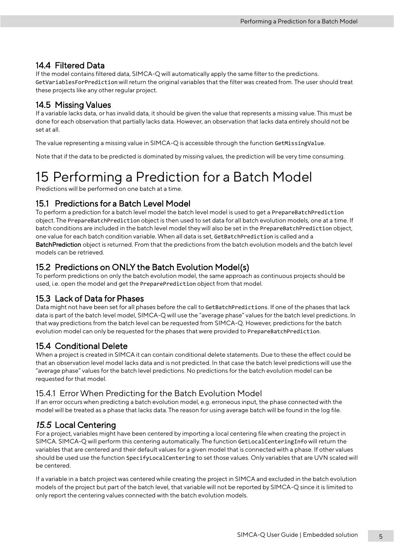### <span id="page-10-0"></span>14.4 Filtered Data

If the model contains filtered data, SIMCA-Q will automatically apply the same filter to the predictions. GetVariablesForPrediction will return the original variables that the filter was created from. The user should treat these projects like any other regular project.

### <span id="page-10-1"></span>14.5 Missing Values

If a variable lacks data, or has invalid data, it should be given the value that represents a missing value. This must be done for each observation that partially lacks data. However, an observation that lacks data entirely should not be set at all.

The value representing a missing value in SIMCA-Q is accessible through the function GetMissingValue.

Note that if the data to be predicted is dominated by missing values, the prediction will be very time consuming.

## <span id="page-10-2"></span>15 Performing a Prediction for a Batch Model

Predictions will be performed on one batch at a time.

### <span id="page-10-3"></span>15.1 Predictions for a Batch Level Model

To perform a prediction for a batch level model the batch level model is used to get a PrepareBatchPrediction object. The PrepareBatchPrediction object is then used to set data for all batch evolution models, one at a time. If batch conditions are included in the batch level model they will also be set in the PrepareBatchPrediction object, one value for each batch condition variable. When all data is set, GetBatchPrediction is called and a BatchPrediction object is returned. From that the predictions from the batch evolution models and the batch level models can be retrieved.

### <span id="page-10-4"></span>15.2 Predictions on ONLY the Batch Evolution Model(s)

To perform predictions on only the batch evolution model, the same approach as continuous projects should be used, i.e. open the model and get the PreparePrediction object from that model.

### <span id="page-10-5"></span>15.3 Lack of Data for Phases

Data might not have been set for all phases before the call to GetBatchPredictions. If one of the phases that lack data is part of the batch level model, SIMCA-Q will use the "average phase" values for the batch level predictions. In that way predictions from the batch level can be requested from SIMCA-Q. However, predictions for the batch evolution model can only be requested for the phases that were provided to PrepareBatchPrediction.

### <span id="page-10-6"></span>15.4 Conditional Delete

When a project is created in SIMCA it can contain conditional delete statements. Due to these the effect could be that an observation level model lacks data and is not predicted. In that case the batch level predictions will use the "average phase" values for the batch level predictions. No predictions for the batch evolution model can be requested for that model.

### <span id="page-10-7"></span>15.4.1 Error When Predicting for the Batch Evolution Model

If an error occurs when predicting a batch evolution model, e.g. erroneous input, the phase connected with the model will be treated as a phase that lacks data. The reason for using average batch will be found in the log file.

### <span id="page-10-8"></span>*15.5* Local Centering

For a project, variables might have been centered by importing a local centering file when creating the project in SIMCA. SIMCA-Q will perform this centering automatically. The function GetLocalCenteringInfo will return the variables that are centered and their default values for a given model that is connected with a phase. If other values should be used use the function SpecifyLocalCentering to set those values. Only variables that are UVN scaled will be centered.

If a variable in a batch project was centered while creating the project in SIMCA and excluded in the batch evolution models of the project but part of the batch level, that variable will not be reported by SIMCA-Q since it is limited to only report the centering values connected with the batch evolution models.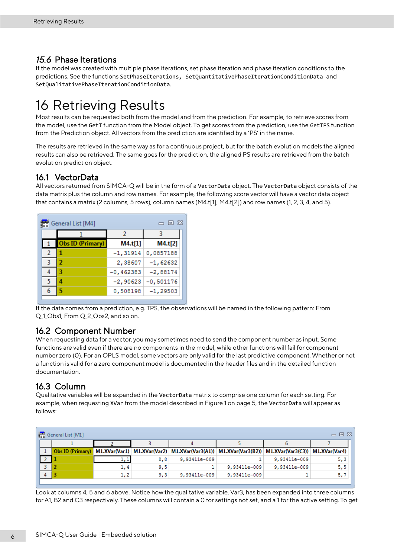### <span id="page-11-0"></span>*15.6* Phase Iterations

If the model was created with multiple phase iterations, set phase iteration and phase iteration conditions to the predictions. See the functions SetPhaseIterations, SetQuantitativePhaseIterationConditionData and SetQualitativePhaseIterationConditionData.

## <span id="page-11-1"></span>16 Retrieving Results

Most results can be requested both from the model and from the prediction. For example, to retrieve scores from the model, use the GetT function from the Model object. To get scores from the prediction, use the GetTPS function from the Prediction object. All vectors from the prediction are identified by a 'PS' in the name.

The results are retrieved in the same way as for a continuous project, but for the batch evolution models the aligned results can also be retrieved. The same goes for the prediction, the aligned PS results are retrieved from the batch evolution prediction object.

### <span id="page-11-2"></span>16.1 VectorData

All vectors returned from SIMCA-Q will be in the form of a VectorData object. The VectorData object consists of the data matrix plus the column and row names. For example, the following score vector will have a vector data object that contains a matrix (2 columns, 5 rows), column names (M4.t[1], M4.t[2]) and row names (1, 2, 3, 4, and 5).

| General List [M4]<br>一 回 窓<br>靇 |  |                         |             |             |  |  |  |  |  |
|---------------------------------|--|-------------------------|-------------|-------------|--|--|--|--|--|
|                                 |  |                         | 2           |             |  |  |  |  |  |
|                                 |  | <b>Obs ID (Primary)</b> | M4.t[1]     | M4.t[2]     |  |  |  |  |  |
| 2                               |  |                         | $-1,31914$  | 0,0857188   |  |  |  |  |  |
| 3                               |  | 2                       | 2,38607     | $-1,62632$  |  |  |  |  |  |
|                                 |  | З                       | $-0,462383$ | $-2,88174$  |  |  |  |  |  |
| 5.                              |  | Δ                       | $-2,90623$  | $-0,501176$ |  |  |  |  |  |
| 6                               |  | 5                       | 0,508198    | $-1,29503$  |  |  |  |  |  |
|                                 |  |                         |             |             |  |  |  |  |  |

If the data comes from a prediction, e.g. TPS, the observations will be named in the following pattern: From Q 1 Obs1, From Q 2 Obs2, and so on.

### <span id="page-11-3"></span>16.2 Component Number

When requesting data for a vector, you may sometimes need to send the component number as input. Some functions are valid even if there are no components in the model, while other functions will fail for component number zero (0). For an OPLS model, some vectors are only valid for the last predictive component. Whether or not a function is valid for a zero component model is documented in the header files and in the detailed function documentation.

### <span id="page-11-4"></span>16.3 Column

Qualitative variables will be expanded in the VectorData matrix to comprise one column for each setting. For example, when requesting XVar from the model described in Figure 1 on page 5, the VectorData will appear as follows:

| General List [M1]<br>□ 回 窓 |     |     |              |                                                                                                    |              |               |  |  |  |  |
|----------------------------|-----|-----|--------------|----------------------------------------------------------------------------------------------------|--------------|---------------|--|--|--|--|
|                            |     |     |              |                                                                                                    |              |               |  |  |  |  |
|                            |     |     |              | Obs ID (Primary) M1.XVar(Var1) M1.XVar(Var2) M1.XVar(Var3(A1)) M1.XVar(Var3(B2)) M1.XVar(Var3(C3)) |              | M1.XVar(Var4) |  |  |  |  |
|                            |     | 8,8 | 9,93411e-009 |                                                                                                    | 9,93411e-009 | 5,3           |  |  |  |  |
|                            | 1,4 | 9,5 |              | 9,93411e-009                                                                                       | 9,93411e-009 | 5,5           |  |  |  |  |
|                            | 1,2 | 9,3 | 9,93411e-009 | 9,93411e-009                                                                                       |              | 5,7           |  |  |  |  |
|                            |     |     |              |                                                                                                    |              |               |  |  |  |  |

Look at columns 4, 5 and 6 above. Notice how the qualitative variable, Var3, has been expanded into three columns for A1, B2 and C3 respectively. These columns will contain a 0 for settings not set, and a 1 for the active setting. To get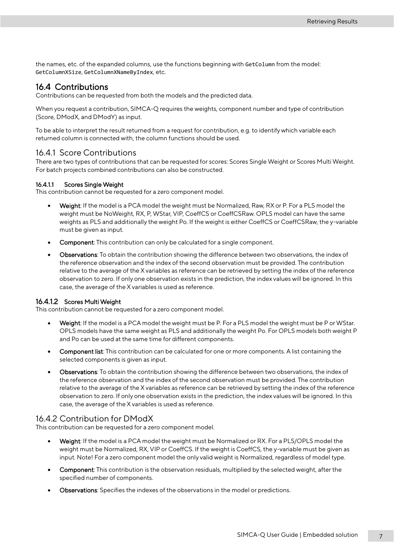the names, etc. of the expanded columns, use the functions beginning with GetColumn from the model: GetColumnXSize, GetColumnXNameByIndex, etc.

### <span id="page-12-0"></span>16.4 Contributions

Contributions can be requested from both the models and the predicted data.

When you request a contribution, SIMCA-Q requires the weights, component number and type of contribution (Score, DModX, and DModY) as input.

To be able to interpret the result returned from a request for contribution, e.g. to identify which variable each returned column is connected with, the column functions should be used.

#### <span id="page-12-1"></span>16.4.1 Score Contributions

There are two types of contributions that can be requested for scores: Scores Single Weight or Scores Multi Weight. For batch projects combined contributions can also be constructed.

#### 16.4.1.1 Scores Single Weight

This contribution cannot be requested for a zero component model.

- Weight: If the model is a PCA model the weight must be Normalized, Raw, RX or P. For a PLS model the weight must be NoWeight, RX, P, WStar, VIP, CoeffCS or CoeffCSRaw. OPLS model can have the same weights as PLS and additionally the weight Po. If the weight is either CoeffCS or CoeffCSRaw, the y-variable must be given as input.
- Component: This contribution can only be calculated for a single component.
- Observations: To obtain the contribution showing the difference between two observations, the index of the reference observation and the index of the second observation must be provided. The contribution relative to the average of the X variables as reference can be retrieved by setting the index of the reference observation to zero. If only one observation exists in the prediction, the index values will be ignored. In this case, the average of the X variables is used as reference.

#### 16.4.1.2 Scores Multi Weight

This contribution cannot be requested for a zero component model.

- Weight: If the model is a PCA model the weight must be P. For a PLS model the weight must be P or WStar. OPLS models have the same weight as PLS and additionally the weight Po. For OPLS models both weight P and Po can be used at the same time for different components.
- Component list: This contribution can be calculated for one or more components. A list containing the selected components is given as input.
- Observations: To obtain the contribution showing the difference between two observations, the index of the reference observation and the index of the second observation must be provided. The contribution relative to the average of the X variables as reference can be retrieved by setting the index of the reference observation to zero. If only one observation exists in the prediction, the index values will be ignored. In this case, the average of the X variables is used as reference.

#### <span id="page-12-2"></span>16.4.2 Contribution for DModX

This contribution can be requested for a zero component model.

- Weight: If the model is a PCA model the weight must be Normalized or RX. For a PLS/OPLS model the weight must be Normalized, RX, VIP or CoeffCS. If the weight is CoeffCS, the y-variable must be given as input. Note! For a zero component model the only valid weight is Normalized, regardless of model type.
- Component: This contribution is the observation residuals, multiplied by the selected weight, after the specified number of components.
- Observations: Specifies the indexes of the observations in the model or predictions.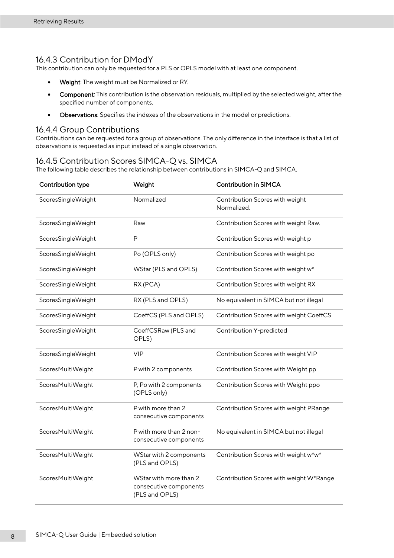#### <span id="page-13-0"></span>16.4.3 Contribution for DModY

This contribution can only be requested for a PLS or OPLS model with at least one component.

- Weight: The weight must be Normalized or RY.
- Component: This contribution is the observation residuals, multiplied by the selected weight, after the specified number of components.
- Observations: Specifies the indexes of the observations in the model or predictions.

#### <span id="page-13-1"></span>16.4.4 Group Contributions

Contributions can be requested for a group of observations. The only difference in the interface is that a list of observations is requested as input instead of a single observation.

#### <span id="page-13-2"></span>16.4.5 Contribution Scores SIMCA-Q vs. SIMCA

The following table describes the relationship between contributions in SIMCA-Q and SIMCA.

| Contribution type  | Weight                                                             | <b>Contribution in SIMCA</b>                   |
|--------------------|--------------------------------------------------------------------|------------------------------------------------|
| ScoresSingleWeight | Normalized                                                         | Contribution Scores with weight<br>Normalized. |
| ScoresSingleWeight | Raw                                                                | Contribution Scores with weight Raw.           |
| ScoresSingleWeight | $\mathsf{P}$                                                       | Contribution Scores with weight p              |
| ScoresSingleWeight | Po (OPLS only)                                                     | Contribution Scores with weight po             |
| ScoresSingleWeight | WStar (PLS and OPLS)                                               | Contribution Scores with weight w*             |
| ScoresSingleWeight | RX (PCA)                                                           | Contribution Scores with weight RX             |
| ScoresSingleWeight | RX (PLS and OPLS)                                                  | No equivalent in SIMCA but not illegal         |
| ScoresSingleWeight | CoeffCS (PLS and OPLS)                                             | Contribution Scores with weight CoeffCS        |
| ScoresSingleWeight | CoeffCSRaw (PLS and<br>OPLS)                                       | Contribution Y-predicted                       |
| ScoresSingleWeight | <b>VIP</b>                                                         | Contribution Scores with weight VIP            |
| ScoresMultiWeight  | P with 2 components                                                | Contribution Scores with Weight pp             |
| ScoresMultiWeight  | P, Po with 2 components<br>(OPLS only)                             | Contribution Scores with Weight ppo            |
| ScoresMultiWeight  | P with more than 2<br>consecutive components                       | Contribution Scores with weight PRange         |
| ScoresMultiWeight  | P with more than 2 non-<br>consecutive components                  | No equivalent in SIMCA but not illegal         |
| ScoresMultiWeight  | WStar with 2 components<br>(PLS and OPLS)                          | Contribution Scores with weight w*w*           |
| ScoresMultiWeight  | WStar with more than 2<br>consecutive components<br>(PLS and OPLS) | Contribution Scores with weight W*Range        |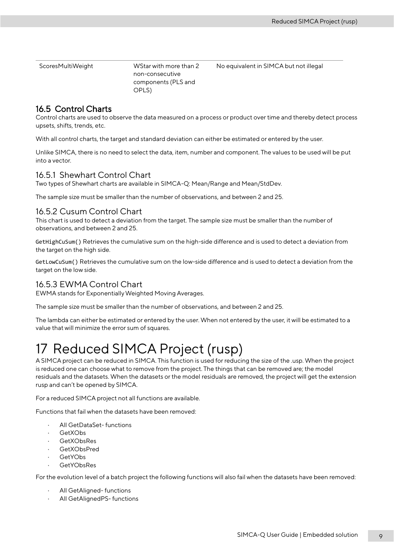ScoresMultiWeight WStar with more than 2 non-consecutive components (PLS and OPLS) No equivalent in SIMCA but not illegal

### <span id="page-14-0"></span>16.5 Control Charts

Control charts are used to observe the data measured on a process or product over time and thereby detect process upsets, shifts, trends, etc.

With all control charts, the target and standard deviation can either be estimated or entered by the user.

Unlike SIMCA, there is no need to select the data, item, number and component. The values to be used will be put into a vector.

#### <span id="page-14-1"></span>16.5.1 Shewhart Control Chart

Two types of Shewhart charts are available in SIMCA-Q: Mean/Range and Mean/StdDev.

The sample size must be smaller than the number of observations, and between 2 and 25.

#### <span id="page-14-2"></span>16.5.2 Cusum Control Chart

This chart is used to detect a deviation from the target. The sample size must be smaller than the number of observations, and between 2 and 25.

GetHighCuSum() Retrieves the cumulative sum on the high-side difference and is used to detect a deviation from the target on the high side.

GetLowCuSum() Retrieves the cumulative sum on the low-side difference and is used to detect a deviation from the target on the low side.

### <span id="page-14-3"></span>16.5.3 EWMA Control Chart

EWMA stands for Exponentially Weighted Moving Averages.

The sample size must be smaller than the number of observations, and between 2 and 25.

The lambda can either be estimated or entered by the user. When not entered by the user, it will be estimated to a value that will minimize the error sum of squares.

## <span id="page-14-4"></span>17 Reduced SIMCA Project (rusp)

A SIMCA project can be reduced in SIMCA. This function is used for reducing the size of the .usp. When the project is reduced one can choose what to remove from the project. The things that can be removed are; the model residuals and the datasets. When the datasets or the model residuals are removed, the project will get the extension rusp and can't be opened by SIMCA.

For a reduced SIMCA project not all functions are available.

Functions that fail when the datasets have been removed:

- All GetDataSet- functions
- · GetXObs
- GetXObsRes
- GetXObsPred
- GetYObs
- GetYObsRes

For the evolution level of a batch project the following functions will also fail when the datasets have been removed:

- All GetAligned- functions
- All GetAlignedPS- functions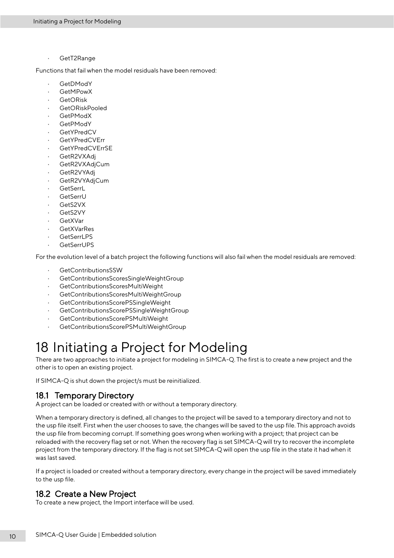GetT2Range

Functions that fail when the model residuals have been removed:

- GetDModY
- **GetMPowX**
- · GetORisk
- GetORiskPooled
- · GetPModX
- · GetPModY
- · GetYPredCV
- **GetYPredCVErr**
- GetYPredCVErrSE
- GetR2VXAdj
- GetR2VXAdjCum
- GetR2VYAdi
- GetR2VYAdjCum
- **GetSerrL**
- · GetSerrU
- GetS2VX
- GetS2VY
- · GetXVar
- **GetXVarRes**
- GetSerrLPS
- · GetSerrUPS

For the evolution level of a batch project the following functions will also fail when the model residuals are removed:

- GetContributionsSSW
- · GetContributionsScoresSingleWeightGroup
- **GetContributionsScoresMultiWeight**
- · GetContributionsScoresMultiWeightGroup
- · GetContributionsScorePSSingleWeight
- GetContributionsScorePSSingleWeightGroup
- GetContributionsScorePSMultiWeight
- <span id="page-15-0"></span>· GetContributionsScorePSMultiWeightGroup

## 18 Initiating a Project for Modeling

There are two approaches to initiate a project for modeling in SIMCA-Q. The first is to create a new project and the other is to open an existing project.

If SIMCA-Q is shut down the project/s must be reinitialized.

### <span id="page-15-1"></span>18.1 Temporary Directory

A project can be loaded or created with or without a temporary directory.

When a temporary directory is defined, all changes to the project will be saved to a temporary directory and not to the usp file itself. First when the user chooses to save, the changes will be saved to the usp file. This approach avoids the usp file from becoming corrupt. If something goes wrong when working with a project; that project can be reloaded with the recovery flag set or not. When the recovery flag is set SIMCA-Q will try to recover the incomplete project from the temporary directory. If the flag is not set SIMCA-Q will open the usp file in the state it had when it was last saved.

If a project is loaded or created without a temporary directory, every change in the project will be saved immediately to the usp file.

### <span id="page-15-2"></span>18.2 Create a New Project

To create a new project, the Import interface will be used.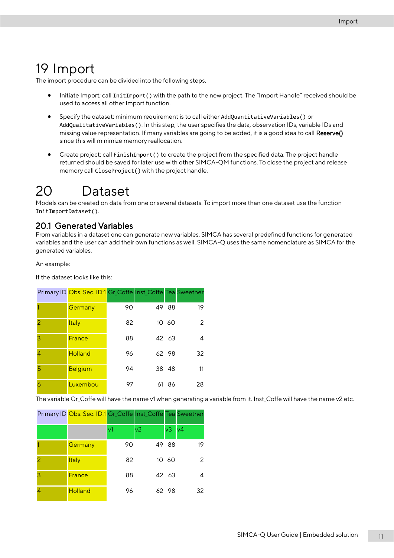## <span id="page-16-0"></span>19 Import

The import procedure can be divided into the following steps.

- Initiate Import; call InitImport() with the path to the new project. The "Import Handle" received should be used to access all other Import function.
- Specify the dataset; minimum requirement is to call either AddQuantitativeVariables() or AddQualitativeVariables(). In this step, the user specifies the data, observation IDs, variable IDs and missing value representation. If many variables are going to be added, it is a good idea to call Reserve() since this will minimize memory reallocation.
- <span id="page-16-1"></span>• Create project; call FinishImport() to create the project from the specified data. The project handle returned should be saved for later use with other SIMCA-QM functions. To close the project and release memory call CloseProject() with the project handle.

## 20 Dataset

Models can be created on data from one or several datasets. To import more than one dataset use the function InitImportDataset().

### <span id="page-16-2"></span>20.1 Generated Variables

From variables in a dataset one can generate new variables. SIMCA has several predefined functions for generated variables and the user can add their own functions as well. SIMCA-Q uses the same nomenclature as SIMCA for the generated variables.

An example:

If the dataset looks like this:

|                | Primary ID Obs. Sec. ID:1 Gr_Coffe Inst_Coffe Tea Sweetner |    |    |       |    |
|----------------|------------------------------------------------------------|----|----|-------|----|
|                | Germany                                                    | 90 |    | 49 88 | 19 |
| 2              | <b>Italy</b>                                               | 82 |    | 10 60 | 2  |
| 3              | France                                                     | 88 |    | 42 63 |    |
| $\overline{4}$ | <b>Holland</b>                                             | 96 |    | 62 98 | 32 |
| 5              | <b>Belgium</b>                                             | 94 |    | 38 48 | 11 |
| 6              | Luxembou                                                   | 97 | 61 | 86    | 28 |

The variable Gr\_Coffe will have the name v1 when generating a variable from it. Inst\_Coffe will have the name v2 etc.

|                | Primary ID Obs. Sec. ID:1 Gr_Coffe Inst_Coffe Tea Sweetner |    |                |       |                |
|----------------|------------------------------------------------------------|----|----------------|-------|----------------|
|                |                                                            | v1 | v <sub>2</sub> | v3    | v <sub>4</sub> |
|                | Germany                                                    | 90 |                | 49 88 | 19             |
| $\overline{2}$ | <b>Italy</b>                                               | 82 |                | 10 60 |                |
| 3              | <b>France</b>                                              | 88 |                | 42 63 |                |
| $\overline{A}$ | <b>Holland</b>                                             | 96 |                | 62 98 | 32             |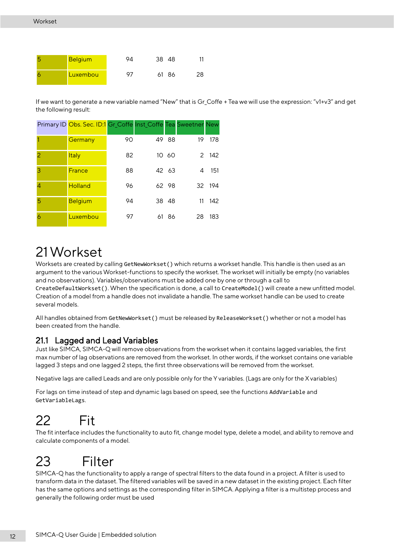| <b>Belgium</b> | QΔ | 38 48 |       |    |
|----------------|----|-------|-------|----|
| Luxembou       | 07 |       | 61 86 | 28 |

If we want to generate a new variable named "New" that is Gr\_Coffe + Tea we will use the expression: "v1+v3" and get the following result:

|                | Primary ID Obs. Sec. ID:1 Gr_Coffe Inst_Coffe Tea Sweetner New |    |       |    |        |
|----------------|----------------------------------------------------------------|----|-------|----|--------|
|                | Germany                                                        | 90 | 49 88 | 19 | 178    |
| 2              | <b>Italy</b>                                                   | 82 | 10 60 |    | 2 142  |
| 3              | France                                                         | 88 | 42 63 | 4  | 151    |
| $\overline{4}$ | <b>Holland</b>                                                 | 96 | 62 98 |    | 32 194 |
| 5              | <b>Belgium</b>                                                 | 94 | 38 48 | 11 | 142    |
| 6              | Luxembou                                                       | 97 | 61 86 | 28 | 183    |

# <span id="page-17-0"></span>21Workset

Worksets are created by calling GetNewWorkset() which returns a workset handle. This handle is then used as an argument to the various Workset-functions to specify the workset. The workset will initially be empty (no variables and no observations). Variables/observations must be added one by one or through a call to CreateDefaultWorkset(). When the specification is done, a call to CreateModel() will create a new unfitted model. Creation of a model from a handle does not invalidate a handle. The same workset handle can be used to create several models.

All handles obtained from GetNewWorkset() must be released by ReleaseWorkset() whether or not a model has been created from the handle.

### <span id="page-17-1"></span>21.1 Lagged and Lead Variables

Just like SIMCA, SIMCA-Q will remove observations from the workset when it contains lagged variables, the first max number of lag observations are removed from the workset. In other words, if the workset contains one variable lagged 3 steps and one lagged 2 steps, the first three observations will be removed from the workset.

Negative lags are called Leads and are only possible only for the Y variables. (Lags are only for the X variables)

For lags on time instead of step and dynamic lags based on speed, see the functions AddVariable and GetVariableLags.

# <span id="page-17-2"></span>22 Fit

The fit interface includes the functionality to auto fit, change model type, delete a model, and ability to remove and calculate components of a model.

# <span id="page-17-3"></span>23 Filter

SIMCA-Q has the functionality to apply a range of spectral filters to the data found in a project. A filter is used to transform data in the dataset. The filtered variables will be saved in a new dataset in the existing project. Each filter has the same options and settings as the corresponding filter in SIMCA. Applying a filter is a multistep process and generally the following order must be used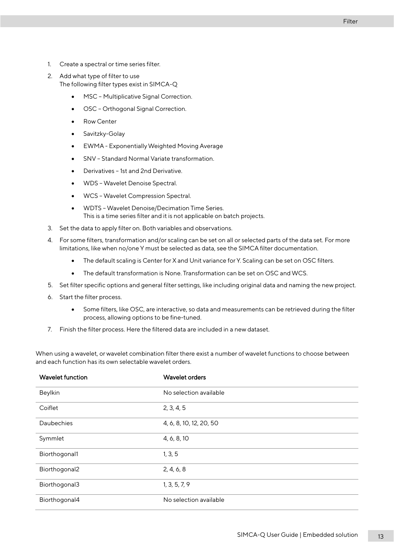- 1. Create a spectral or time series filter.
- 2. Add what type of filter to use The following filter types exist in SIMCA-Q
	- MSC Multiplicative Signal Correction.
	- OSC Orthogonal Signal Correction.
	- Row Center
	- Savitzky-Golay
	- EWMA Exponentially Weighted Moving Average
	- SNV Standard Normal Variate transformation.
	- Derivatives 1st and 2nd Derivative.
	- WDS Wavelet Denoise Spectral.
	- WCS Wavelet Compression Spectral.
	- WDTS Wavelet Denoise/Decimation Time Series. This is a time series filter and it is not applicable on batch projects.
- 3. Set the data to apply filter on. Both variables and observations.
- 4. For some filters, transformation and/or scaling can be set on all or selected parts of the data set. For more limitations, like when no/one Y must be selected as data, see the SIMCA filter documentation.
	- The default scaling is Center for X and Unit variance for Y. Scaling can be set on OSC filters.
	- The default transformation is None. Transformation can be set on OSC and WCS.
- 5. Set filter specific options and general filter settings, like including original data and naming the new project.
- 6. Start the filter process.
	- Some filters, like OSC, are interactive, so data and measurements can be retrieved during the filter process, allowing options to be fine-tuned.
- 7. Finish the filter process. Here the filtered data are included in a new dataset.

When using a wavelet, or wavelet combination filter there exist a number of wavelet functions to choose between and each function has its own selectable wavelet orders.

| <b>Wavelet function</b> | <b>Wavelet orders</b>   |
|-------------------------|-------------------------|
| Beylkin                 | No selection available  |
| Coiflet                 | 2, 3, 4, 5              |
| Daubechies              | 4, 6, 8, 10, 12, 20, 50 |
| Symmlet                 | 4, 6, 8, 10             |
| Biorthogonal1           | 1, 3, 5                 |
| Biorthogonal2           | 2, 4, 6, 8              |
| Biorthogonal3           | 1, 3, 5, 7, 9           |
| Biorthogonal4           | No selection available  |